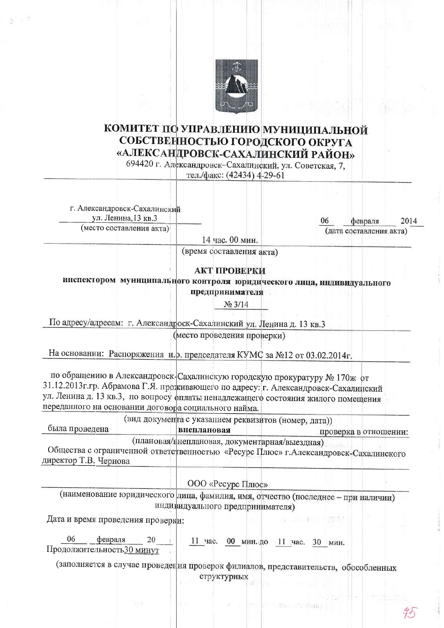

## КОМИТЕТ ПО УПРАВЛЕНИЮ МУНИЦИПАЛЬНОЙ СОБСТВЕННОСТЬЮ ГОРОДСКОГО ОКРУГА «АЛЕКСАНДРОВСК-САХАЛИНСКИЙ РАЙОН»

694420 г. Александровск-Сахалинский, ул. Советская, 7. тел./факс: (42434) 4-29-61

г. Александровск-Сахалинский ул. Ленина, 13 кв.3

(место составления акта)

06 февраля 2014 (дата составления акта)

14 час. 00 мин.

(время составления акта)

## АКТ ПРОВЕРКИ

инспектором муниципального контроля юридического лица, индивидуального предпринимателя

No 3/14

По адресу/адресам: г. Александроск-Сахалинский ул. Ленина д. 13 кв.3

(место проведения проверки)

На основании: Распоряжения и. о. председателя КУМС за №12 от 03.02.2014г.

по обращению в Александровск-Сахалинскую городскую прокуратуру № 170ж от 31.12.2013 г.гр. Абрамова Г.Я. проживающего по адресу: г. Александровск-Сахалинский ул. Ленина д. 13 кв.3, по вопросу фплаты ненадлежащего состояния жилого помещения переданного на основании договора социального найма.

(вид документа с указанием реквизитов (номер, дата))

была проведена внеплановая проверка в отношении: (плановая/внеплановая, документарная/выездная)

Общества с ограниченной ответственностью «Ресурс Плюс» г. Александровск-Сахалинского директор Т.В. Чернова

ООО «Ресурс Плюс»

(наименование юридического лица, фамилия, имя, отчество (последнее - при наличии) индивидуального предпринимателя)

Дата и время проведения проверки:

06  $\sim 20$ февраля 11 час. 00 мин. до 11 час. 30 мин.

Продолжительность 30 минут

Wisselly Takke

第二十一 甲酸酸

(заполняется в случае проведения проверок филиалов, представительств, обособленных структурных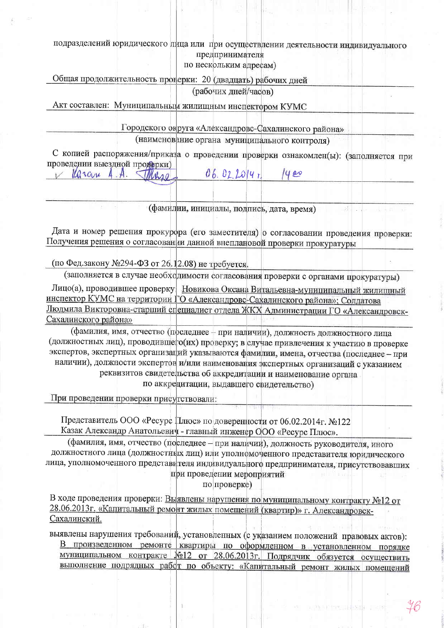подразделений юридического лица или при осуществлении деятельности индивидуального предпринимателя

по нескольким адресам)

Общая продолжительность проверки: 20 (двадцать) рабочих дней

(рабочих дней/часов)

Акт составлен: Муниципальным жилищным инспектором КУМС

Городского округа «Александровс-Сахалинского района»

(наименование органа муниципального контроля)

С копией распоряжения/приказа о проведении проверки ознакомлен(ы): (заполняется при проведении выездной продерки) lla scare

 $06.022014L$  $\rho$  $A \cdot A$ *SIMMAD* 

(фамилии, инициалы, подпись, дата, время)

Дата и номер решения прокурора (его заместителя) о согласовании проведения проверки: Получения решения о согласовании данной внеплановой проверки прокуратуры

(по Фед.закону №294-ФЗ от 26.12.08) не требуется.

(заполняется в случае необходимости согласования проверки с органами прокуратуры)

Лицо(а), проводившее проверку Новикова Оксана Витальевна-муниципальный жилищный инспектор КУМС на территории ГО «Александровс-Сахалинского района»; Солдатова Людмила Викторовна-старший специалист отдела ЖКХ Администрации ГО «Александровск-Сахалинского района»

(фамилия, имя, отчество (последнее - при наличии), должность должностного лица (должностных лиц), проводившего(их) проверку; в случае привлечения к участию в проверке экспертов, экспертных организаций указываются фамилии, имена, отчества (последнее - при наличии), должности экспертов и/или наименования экспертных организаций с указанием реквизитов свидетельства об аккредитации и наименование органа по аккредитации, выдавшего свидетельство)

При проведении проверки присутствовали:

Представитель ООО «Ресурс Плюс» по доверенности от 06.02.2014г. №122 Казак Александр Анатольевич - главный инженер ООО «Ресурс Плюс».

(фамилия, имя, отчество (последнее - при наличии), должность руководителя, иного должностного лица (должностных лиц) или уполномоченного представителя юрилического лица, уполномоченного представителя индивидуального предпринимателя, присутствовавших при проведении мероприятий

по проверке)

В ходе проведения проверки: Выявлены нарушения по муниципальному контракту №12 от 28.06.2013г. «Капитальный ремонт жилых помещений (квартир)» г. Александровск-Сахалинский.

выявлены нарушения требований, установленных (с указанием положений правовых актов): В произведенном ремонте квартиры по оформленном в установленном порядке муниципальном контракте №12 от 28.06.2013г. Подрядчик обязуется осуществить выполнение подрядных работ по объекту: «Капитальный ремонт жилых помещений